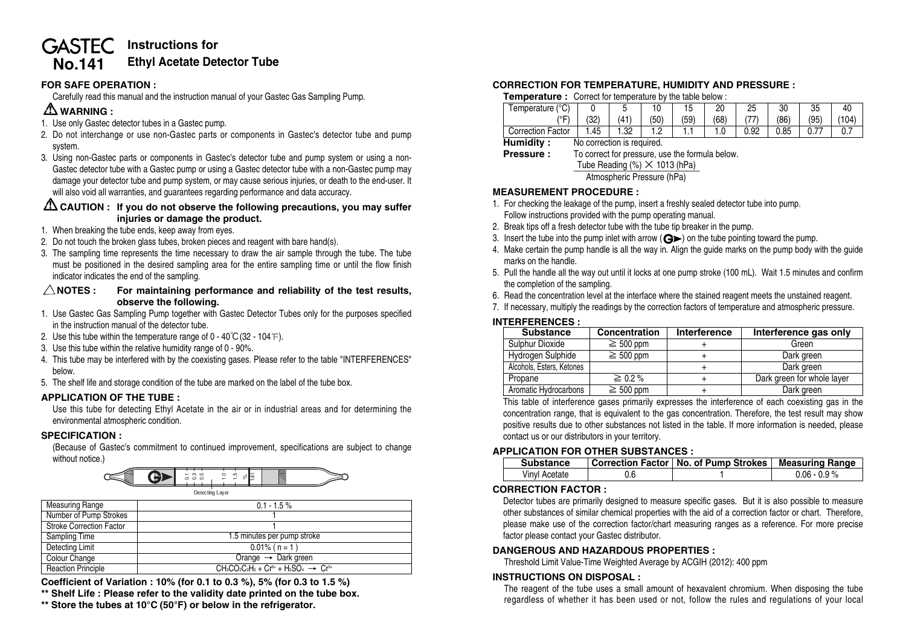#### **Instructions for GASTEC Ethyl Acetate Detector Tube No.141**

### **FOR SAFE OPERATION :**

Carefully read this manual and the instruction manual of your Gastec Gas Sampling Pump.

# **WARNING :**

- 1. Use only Gastec detector tubes in a Gastec pump.
- 2. Do not interchange or use non-Gastec parts or components in Gastec's detector tube and pump system.
- 3. Using non-Gastec parts or components in Gastec's detector tube and pump system or using a non-Gastec detector tube with a Gastec pump or using a Gastec detector tube with a non-Gastec pump may damage your detector tube and pump system, or may cause serious injuries, or death to the end-user. It will also void all warranties, and quarantees regarding performance and data accuracy.

### **CAUTION : If you do not observe the following precautions, you may suffer injuries or damage the product.**

- 1. When breaking the tube ends, keep away from eyes.
- 2. Do not touch the broken glass tubes, broken pieces and reagent with bare hand(s).
- 3. The sampling time represents the time necessary to draw the air sample through the tube. The tube must be positioned in the desired sampling area for the entire sampling time or until the flow finish indicator indicates the end of the sampling.

### $\triangle$ NOTES : For maintaining performance and reliability of the test results, **observe the following.**

- 1. Use Gastec Gas Sampling Pump together with Gastec Detector Tubes only for the purposes specified in the instruction manual of the detector tube.
- 2. Use this tube within the temperature range of  $0 40^{\circ}C(32 104^{\circ}F)$ .
- 3. Use this tube within the relative humidity range of 0 90%.
- 4. This tube may be interfered with by the coexisting gases. Please refer to the table "INTERFERENCES" below.
- 5. The shelf life and storage condition of the tube are marked on the label of the tube box.

### **APPLICATION OF THE TUBE :**

Use this tube for detecting Ethyl Acetate in the air or in industrial areas and for determining the environmental atmospheric condition.

### **SPECIFICATION :**

(Because of Gastec's commitment to continued improvement, specifications are subject to change without notice.)



| <b>Measuring Range</b>          | $0.1 - 1.5 \%$                                     |
|---------------------------------|----------------------------------------------------|
| Number of Pump Strokes          |                                                    |
| <b>Stroke Correction Factor</b> |                                                    |
| Sampling Time                   | 1.5 minutes per pump stroke                        |
| Detecting Limit                 | $0.01\%$ ( n = 1)                                  |
| Colour Change                   | Orange $\rightarrow$ Dark green                    |
| <b>Reaction Principle</b>       | $CH_3CO_2C_2H_5 + Cr6+ + H_2SO_4 \rightarrow Cr3+$ |

**Coefficient of Variation : 10% (for 0.1 to 0.3 %), 5% (for 0.3 to 1.5 %)**

- **\*\* Shelf Life : Please refer to the validity date printed on the tube box.**
- **\*\* Store the tubes at 10°C (50°F) or below in the refrigerator.**

# **CORRECTION FOR TEMPERATURE, HUMIDITY AND PRESSURE :**

**Temperature :** Correct for temperature by the table below :

|                          |     |      |      |      | ∩∩   |      |      | つに   |       |
|--------------------------|-----|------|------|------|------|------|------|------|-------|
| Temperature (°C)         |     |      | 10   |      |      | 25   | 30   | υu   | 40    |
| ′∘⊏                      | 32) | (41) | (50) | (59) | (68) |      | (86) | (95) | (104) |
| <b>Correction Factor</b> | .45 | .32  | . .  | . .  | 1.U  | 0.92 | 0.85 | 0.11 | υ. ι  |

**Humidity :** No correction is required.

| <b>Pressure :</b> | To correct for pressure, use the formula below. |
|-------------------|-------------------------------------------------|
|                   | Tube Reading $\frac{8}{5} \times 1013$ (hPa)    |

Atmospheric Pressure (hPa)

## **MEASUREMENT PROCEDURE :**

- 1. For checking the leakage of the pump, insert a freshly sealed detector tube into pump. Follow instructions provided with the pump operating manual.
- 2. Break tips off a fresh detector tube with the tube tip breaker in the pump.
- 3. Insert the tube into the pump inlet with arrow  $(Q)$  on the tube pointing toward the pump.
- 4. Make certain the pump handle is all the way in. Align the guide marks on the pump body with the guide marks on the handle.
- 5. Pull the handle all the way out until it locks at one pump stroke (100 mL). Wait 1.5 minutes and confirm the completion of the sampling.
- 6. Read the concentration level at the interface where the stained reagent meets the unstained reagent.
- 7. If necessary, multiply the readings by the correction factors of temperature and atmospheric pressure.

### **INTERFERENCES :**

| <b>Substance</b>          | Concentration  | Interference | Interference gas only      |
|---------------------------|----------------|--------------|----------------------------|
| Sulphur Dioxide           | $\geq 500$ ppm |              | Green                      |
| Hydrogen Sulphide         | $\geq 500$ ppm |              | Dark green                 |
| Alcohols, Esters, Ketones |                |              | Dark green                 |
| Propane                   | $\geq 0.2\%$   |              | Dark green for whole layer |
| Aromatic Hydrocarbons     | $\geq 500$ ppm |              | Dark green                 |

This table of interference gases primarily expresses the interference of each coexisting gas in the concentration range, that is equivalent to the gas concentration. Therefore, the test result may show positive results due to other substances not listed in the table. If more information is needed, please contact us or our distributors in your territory.

### **APPLICATION FOR OTHER SUBSTANCES :**

| <b>Substance</b> | Correction Factor   No. of Pump Strokes   Measuring Range |                 |
|------------------|-----------------------------------------------------------|-----------------|
| Vinyl Acetate    |                                                           | $0.06 - 0.9 \%$ |

### **CORRECTION FACTOR :**

Detector tubes are primarily designed to measure specific gases. But it is also possible to measure other substances of similar chemical properties with the aid of a correction factor or chart. Therefore, please make use of the correction factor/chart measuring ranges as a reference. For more precise factor please contact your Gastec distributor.

### **DANGEROUS AND HAZARDOUS PROPERTIES :**

Threshold Limit Value-Time Weighted Average by ACGIH (2012): 400 ppm

#### **INSTRUCTIONS ON DISPOSAL :**

The reagent of the tube uses a small amount of hexavalent chromium. When disposing the tube regardless of whether it has been used or not, follow the rules and regulations of your local